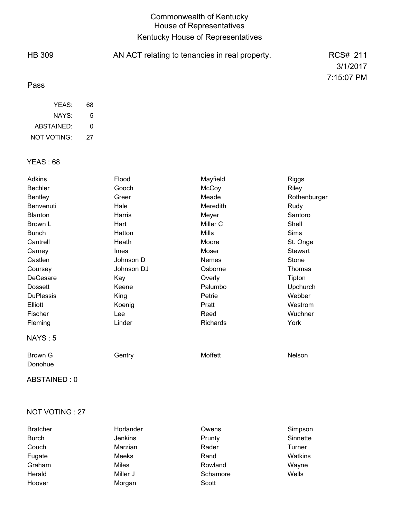## Commonwealth of Kentucky House of Representatives Kentucky House of Representatives

| <b>HB 309</b> | AN ACT relating to tenancies in real property. | RCS# 211   |
|---------------|------------------------------------------------|------------|
|               |                                                | 3/1/2017   |
| Pass          |                                                | 7:15:07 PM |
| YEAS:         | 68                                             |            |

| NAYS:       | 5  |
|-------------|----|
| ABSTAINED:  | ŋ  |
| NOT VOTING: | 27 |

## YEAS : 68

| <b>Adkins</b><br><b>Bechler</b> | Flood<br>Gooch | Mayfield<br>McCoy | <b>Riggs</b><br>Riley |
|---------------------------------|----------------|-------------------|-----------------------|
| <b>Bentley</b>                  | Greer          | Meade             | Rothenburger          |
| Benvenuti                       | Hale           | Meredith          | Rudy                  |
| Blanton                         | Harris         | Meyer             | Santoro               |
| Brown L                         | Hart           | Miller C          | Shell                 |
| <b>Bunch</b>                    | Hatton         | Mills             | <b>Sims</b>           |
| Cantrell                        | Heath          | Moore             | St. Onge              |
| Carney                          | Imes           | Moser             | Stewart               |
| Castlen                         | Johnson D      | Nemes             | Stone                 |
| Coursey                         | Johnson DJ     | Osborne           | Thomas                |
| DeCesare                        | Kay            | Overly            | Tipton                |
| <b>Dossett</b>                  | Keene          | Palumbo           | Upchurch              |
| <b>DuPlessis</b>                | King           | Petrie            | Webber                |
| Elliott                         | Koenig         | Pratt             | Westrom               |
| Fischer                         | Lee            | Reed              | Wuchner               |
| Fleming                         | Linder         | Richards          | York                  |
| NAYS: 5                         |                |                   |                       |
| Brown G<br>Donohue              | Gentry         | Moffett           | Nelson                |

ABSTAINED : 0

### NOT VOTING : 27

| <b>Bratcher</b> | Horlander      | Owens    | Simpson  |
|-----------------|----------------|----------|----------|
| <b>Burch</b>    | <b>Jenkins</b> | Prunty   | Sinnette |
| Couch           | Marzian        | Rader    | Turner   |
| Fugate          | Meeks          | Rand     | Watkins  |
| Graham          | Miles          | Rowland  | Wayne    |
| Herald          | Miller J       | Schamore | Wells    |
| Hoover          | Morgan         | Scott    |          |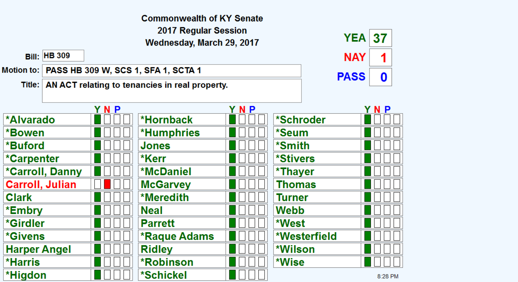|                        |                     |     | <b>Commonwealth of KY Senate</b>                        |     |               |             |             |
|------------------------|---------------------|-----|---------------------------------------------------------|-----|---------------|-------------|-------------|
|                        |                     |     | 2017 Regular Session                                    |     |               |             |             |
|                        |                     |     | Wednesday, March 29, 2017                               |     |               | <b>YEA</b>  | 37          |
|                        | <b>Bill: HB 309</b> |     |                                                         |     |               | <b>NAY</b>  | 1           |
| <b>Motion to:</b>      |                     |     | PASS HB 309 W, SCS 1, SFA 1, SCTA 1                     |     |               | <b>PASS</b> | $\mathbf 0$ |
|                        |                     |     | Title:   AN ACT relating to tenancies in real property. |     |               |             |             |
|                        |                     |     |                                                         |     |               |             |             |
|                        |                     | YNP |                                                         | YNP |               |             | Y N P       |
| *Alvarado              |                     |     | *Hornback                                               |     | *Schroder     |             |             |
| *Bowen                 |                     |     | <b>*Humphries</b>                                       |     | *Seum         |             |             |
| *Buford                |                     |     | Jones                                                   |     | *Smith        |             |             |
| *Carpenter             |                     |     | *Kerr                                                   |     | *Stivers      |             |             |
| <b>*Carroll, Danny</b> |                     |     | <b>*McDaniel</b>                                        |     | *Thayer       |             |             |
| <b>Carroll, Julian</b> |                     |     | <b>McGarvey</b>                                         |     | <b>Thomas</b> |             |             |
| <b>Clark</b>           |                     |     | *Meredith                                               |     | <b>Turner</b> |             |             |
| *Embry                 |                     |     | <b>Neal</b>                                             |     | <b>Webb</b>   |             |             |
| *Girdler               |                     |     | <b>Parrett</b>                                          |     | *West         |             |             |
| <i><b>*Givens</b></i>  |                     |     | *Raque Adams                                            |     | *Westerfield  |             |             |
| <b>Harper Angel</b>    |                     |     | <b>Ridley</b>                                           |     | *Wilson       |             |             |
| <b>*Harris</b>         |                     |     | <b>*Robinson</b>                                        |     | *Wise         |             |             |
| *Higdon                |                     |     | *Schickel                                               |     |               |             | 8:28 PM     |